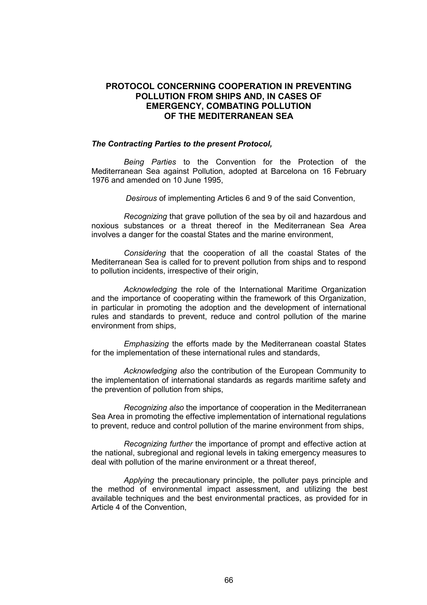# **PROTOCOL CONCERNING COOPERATION IN PREVENTING POLLUTION FROM SHIPS AND, IN CASES OF EMERGENCY, COMBATING POLLUTION OF THE MEDITERRANEAN SEA**

### *The Contracting Parties to the present Protocol,*

*Being Parties* to the Convention for the Protection of the Mediterranean Sea against Pollution, adopted at Barcelona on 16 February 1976 and amended on 10 June 1995,

 *Desirous* of implementing Articles 6 and 9 of the said Convention,

*Recognizing* that grave pollution of the sea by oil and hazardous and noxious substances or a threat thereof in the Mediterranean Sea Area involves a danger for the coastal States and the marine environment,

*Considering* that the cooperation of all the coastal States of the Mediterranean Sea is called for to prevent pollution from ships and to respond to pollution incidents, irrespective of their origin,

*Acknowledging* the role of the International Maritime Organization and the importance of cooperating within the framework of this Organization, in particular in promoting the adoption and the development of international rules and standards to prevent, reduce and control pollution of the marine environment from ships,

*Emphasizing* the efforts made by the Mediterranean coastal States for the implementation of these international rules and standards,

*Acknowledging also* the contribution of the European Community to the implementation of international standards as regards maritime safety and the prevention of pollution from ships,

*Recognizing also* the importance of cooperation in the Mediterranean Sea Area in promoting the effective implementation of international regulations to prevent, reduce and control pollution of the marine environment from ships,

*Recognizing further* the importance of prompt and effective action at the national, subregional and regional levels in taking emergency measures to deal with pollution of the marine environment or a threat thereof,

*Applying* the precautionary principle, the polluter pays principle and the method of environmental impact assessment, and utilizing the best available techniques and the best environmental practices, as provided for in Article 4 of the Convention,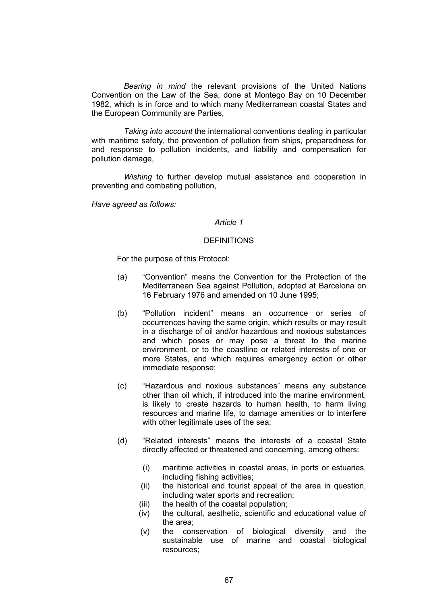*Bearing in mind* the relevant provisions of the United Nations Convention on the Law of the Sea, done at Montego Bay on 10 December 1982, which is in force and to which many Mediterranean coastal States and the European Community are Parties,

*Taking into account* the international conventions dealing in particular with maritime safety, the prevention of pollution from ships, preparedness for and response to pollution incidents, and liability and compensation for pollution damage,

*Wishing* to further develop mutual assistance and cooperation in preventing and combating pollution,

*Have agreed as follows:* 

#### *Article 1*

### DEFINITIONS

For the purpose of this Protocol:

- (a) "Convention" means the Convention for the Protection of the Mediterranean Sea against Pollution, adopted at Barcelona on 16 February 1976 and amended on 10 June 1995;
- (b) "Pollution incident" means an occurrence or series of occurrences having the same origin, which results or may result in a discharge of oil and/or hazardous and noxious substances and which poses or may pose a threat to the marine environment, or to the coastline or related interests of one or more States, and which requires emergency action or other immediate response;
- (c) "Hazardous and noxious substances" means any substance other than oil which, if introduced into the marine environment, is likely to create hazards to human health, to harm living resources and marine life, to damage amenities or to interfere with other legitimate uses of the sea;
- (d) "Related interests" means the interests of a coastal State directly affected or threatened and concerning, among others:
	- (i) maritime activities in coastal areas, in ports or estuaries, including fishing activities;
	- (ii) the historical and tourist appeal of the area in question, including water sports and recreation;
	- (iii) the health of the coastal population;
	- (iv) the cultural, aesthetic, scientific and educational value of the area;
	- (v) the conservation of biological diversity and the sustainable use of marine and coastal biological resources;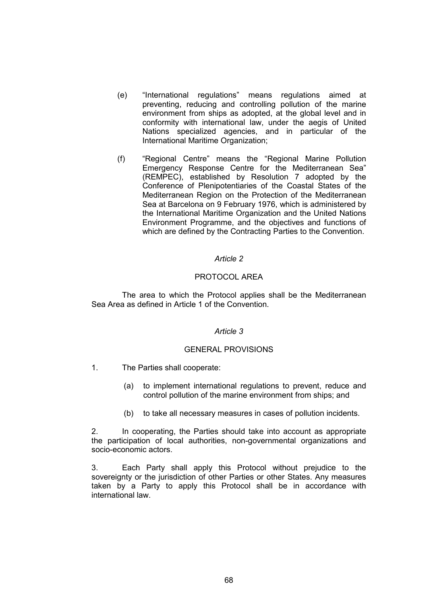- (e) "International regulations" means regulations aimed at preventing, reducing and controlling pollution of the marine environment from ships as adopted, at the global level and in conformity with international law, under the aegis of United Nations specialized agencies, and in particular of the International Maritime Organization;
- (f) "Regional Centre" means the "Regional Marine Pollution Emergency Response Centre for the Mediterranean Sea" (REMPEC), established by Resolution 7 adopted by the Conference of Plenipotentiaries of the Coastal States of the Mediterranean Region on the Protection of the Mediterranean Sea at Barcelona on 9 February 1976, which is administered by the International Maritime Organization and the United Nations Environment Programme, and the objectives and functions of which are defined by the Contracting Parties to the Convention.

### PROTOCOL AREA

 The area to which the Protocol applies shall be the Mediterranean Sea Area as defined in Article 1 of the Convention.

#### *Article 3*

### GENERAL PROVISIONS

- 1. The Parties shall cooperate:
	- (a) to implement international regulations to prevent, reduce and control pollution of the marine environment from ships; and
	- (b) to take all necessary measures in cases of pollution incidents.

2. In cooperating, the Parties should take into account as appropriate the participation of local authorities, non-governmental organizations and socio-economic actors.

3. Each Party shall apply this Protocol without prejudice to the sovereignty or the jurisdiction of other Parties or other States. Any measures taken by a Party to apply this Protocol shall be in accordance with international law.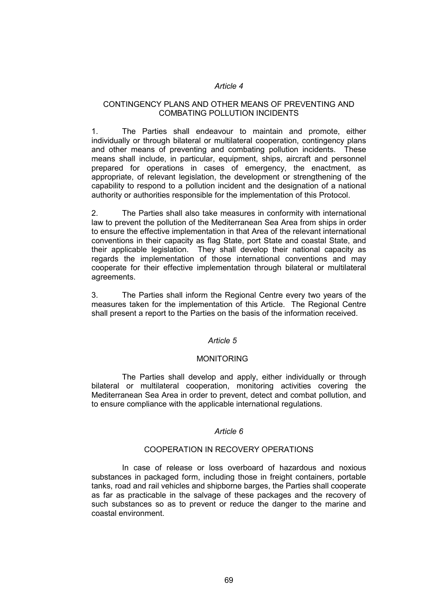## CONTINGENCY PLANS AND OTHER MEANS OF PREVENTING AND COMBATING POLLUTION INCIDENTS

1. The Parties shall endeavour to maintain and promote, either individually or through bilateral or multilateral cooperation, contingency plans and other means of preventing and combating pollution incidents. These means shall include, in particular, equipment, ships, aircraft and personnel prepared for operations in cases of emergency, the enactment, as appropriate, of relevant legislation, the development or strengthening of the capability to respond to a pollution incident and the designation of a national authority or authorities responsible for the implementation of this Protocol.

2. The Parties shall also take measures in conformity with international law to prevent the pollution of the Mediterranean Sea Area from ships in order to ensure the effective implementation in that Area of the relevant international conventions in their capacity as flag State, port State and coastal State, and their applicable legislation. They shall develop their national capacity as regards the implementation of those international conventions and may cooperate for their effective implementation through bilateral or multilateral agreements.

3. The Parties shall inform the Regional Centre every two years of the measures taken for the implementation of this Article. The Regional Centre shall present a report to the Parties on the basis of the information received.

## *Article 5*

## MONITORING

 The Parties shall develop and apply, either individually or through bilateral or multilateral cooperation, monitoring activities covering the Mediterranean Sea Area in order to prevent, detect and combat pollution, and to ensure compliance with the applicable international regulations.

## *Article 6*

## COOPERATION IN RECOVERY OPERATIONS

 In case of release or loss overboard of hazardous and noxious substances in packaged form, including those in freight containers, portable tanks, road and rail vehicles and shipborne barges, the Parties shall cooperate as far as practicable in the salvage of these packages and the recovery of such substances so as to prevent or reduce the danger to the marine and coastal environment.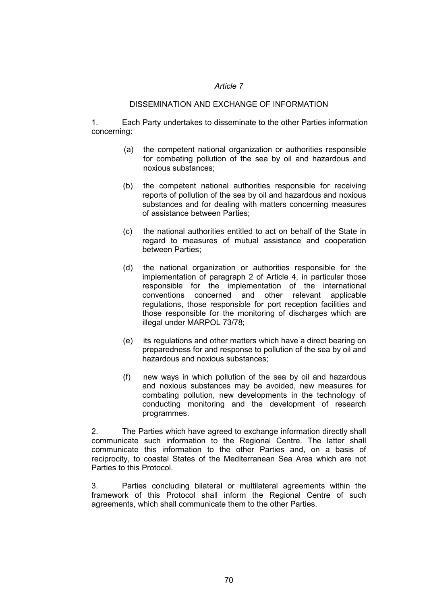# DISSEMINATION AND EXCHANGE OF INFORMATION

1. Each Party undertakes to disseminate to the other Parties information concerning:

- (a) the competent national organization or authorities responsible for combating pollution of the sea by oil and hazardous and noxious substances;
- (b) the competent national authorities responsible for receiving reports of pollution of the sea by oil and hazardous and noxious substances and for dealing with matters concerning measures of assistance between Parties;
- (c) the national authorities entitled to act on behalf of the State in regard to measures of mutual assistance and cooperation between Parties;
- (d) the national organization or authorities responsible for the implementation of paragraph 2 of Article 4, in particular those responsible for the implementation of the international conventions concerned and other relevant applicable regulations, those responsible for port reception facilities and those responsible for the monitoring of discharges which are illegal under MARPOL 73/78;
- (e) its regulations and other matters which have a direct bearing on preparedness for and response to pollution of the sea by oil and hazardous and noxious substances;
- (f) new ways in which pollution of the sea by oil and hazardous and noxious substances may be avoided, new measures for combating pollution, new developments in the technology of conducting monitoring and the development of research programmes.

2. The Parties which have agreed to exchange information directly shall communicate such information to the Regional Centre. The latter shall communicate this information to the other Parties and, on a basis of reciprocity, to coastal States of the Mediterranean Sea Area which are not Parties to this Protocol.

3. Parties concluding bilateral or multilateral agreements within the framework of this Protocol shall inform the Regional Centre of such agreements, which shall communicate them to the other Parties.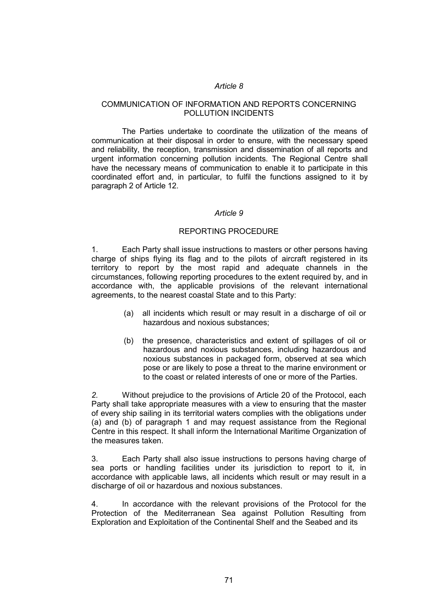### COMMUNICATION OF INFORMATION AND REPORTS CONCERNING POLLUTION INCIDENTS

 The Parties undertake to coordinate the utilization of the means of communication at their disposal in order to ensure, with the necessary speed and reliability, the reception, transmission and dissemination of all reports and urgent information concerning pollution incidents. The Regional Centre shall have the necessary means of communication to enable it to participate in this coordinated effort and, in particular, to fulfil the functions assigned to it by paragraph 2 of Article 12.

## *Article 9*

# REPORTING PROCEDURE

1. Each Party shall issue instructions to masters or other persons having charge of ships flying its flag and to the pilots of aircraft registered in its territory to report by the most rapid and adequate channels in the circumstances, following reporting procedures to the extent required by, and in accordance with, the applicable provisions of the relevant international agreements, to the nearest coastal State and to this Party:

- (a) all incidents which result or may result in a discharge of oil or hazardous and noxious substances;
- (b) the presence, characteristics and extent of spillages of oil or hazardous and noxious substances, including hazardous and noxious substances in packaged form, observed at sea which pose or are likely to pose a threat to the marine environment or to the coast or related interests of one or more of the Parties.

*2.* Without prejudice to the provisions of Article 20 of the Protocol, each Party shall take appropriate measures with a view to ensuring that the master of every ship sailing in its territorial waters complies with the obligations under (a) and (b) of paragraph 1 and may request assistance from the Regional Centre in this respect. It shall inform the International Maritime Organization of the measures taken.

3. Each Party shall also issue instructions to persons having charge of sea ports or handling facilities under its jurisdiction to report to it, in accordance with applicable laws, all incidents which result or may result in a discharge of oil or hazardous and noxious substances.

4. In accordance with the relevant provisions of the Protocol for the Protection of the Mediterranean Sea against Pollution Resulting from Exploration and Exploitation of the Continental Shelf and the Seabed and its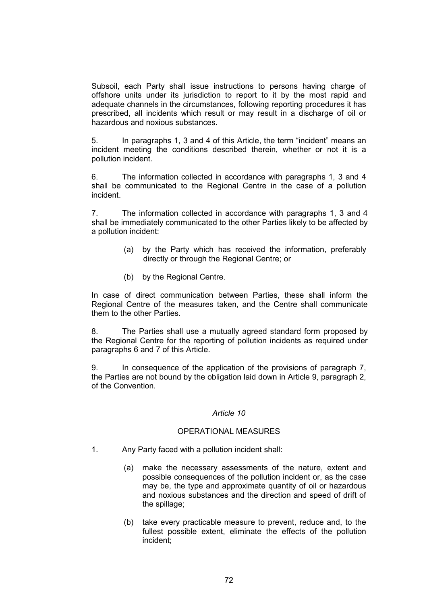Subsoil, each Party shall issue instructions to persons having charge of offshore units under its jurisdiction to report to it by the most rapid and adequate channels in the circumstances, following reporting procedures it has prescribed, all incidents which result or may result in a discharge of oil or hazardous and noxious substances.

5. In paragraphs 1, 3 and 4 of this Article, the term "incident" means an incident meeting the conditions described therein, whether or not it is a pollution incident.

6. The information collected in accordance with paragraphs 1, 3 and 4 shall be communicated to the Regional Centre in the case of a pollution incident.

7. The information collected in accordance with paragraphs 1, 3 and 4 shall be immediately communicated to the other Parties likely to be affected by a pollution incident:

- (a) by the Party which has received the information, preferably directly or through the Regional Centre; or
- (b) by the Regional Centre.

In case of direct communication between Parties, these shall inform the Regional Centre of the measures taken, and the Centre shall communicate them to the other Parties.

8. The Parties shall use a mutually agreed standard form proposed by the Regional Centre for the reporting of pollution incidents as required under paragraphs 6 and 7 of this Article.

9. In consequence of the application of the provisions of paragraph 7, the Parties are not bound by the obligation laid down in Article 9, paragraph 2, of the Convention.

# *Article 10*

## OPERATIONAL MEASURES

- 1. Any Party faced with a pollution incident shall:
	- (a) make the necessary assessments of the nature, extent and possible consequences of the pollution incident or, as the case may be, the type and approximate quantity of oil or hazardous and noxious substances and the direction and speed of drift of the spillage;
	- (b) take every practicable measure to prevent, reduce and, to the fullest possible extent, eliminate the effects of the pollution incident;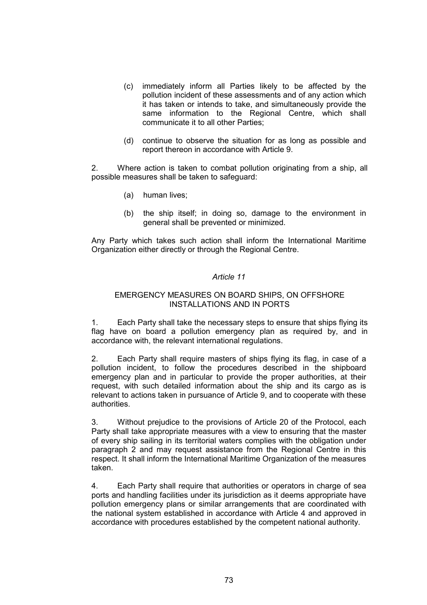- (c) immediately inform all Parties likely to be affected by the pollution incident of these assessments and of any action which it has taken or intends to take, and simultaneously provide the same information to the Regional Centre, which shall communicate it to all other Parties;
- (d) continue to observe the situation for as long as possible and report thereon in accordance with Article 9.

2. Where action is taken to combat pollution originating from a ship, all possible measures shall be taken to safeguard:

- (a) human lives;
- (b) the ship itself; in doing so, damage to the environment in general shall be prevented or minimized.

Any Party which takes such action shall inform the International Maritime Organization either directly or through the Regional Centre.

## *Article 11*

# EMERGENCY MEASURES ON BOARD SHIPS, ON OFFSHORE INSTALLATIONS AND IN PORTS

1. Each Party shall take the necessary steps to ensure that ships flying its flag have on board a pollution emergency plan as required by, and in accordance with, the relevant international regulations.

2. Each Party shall require masters of ships flying its flag, in case of a pollution incident, to follow the procedures described in the shipboard emergency plan and in particular to provide the proper authorities, at their request, with such detailed information about the ship and its cargo as is relevant to actions taken in pursuance of Article 9, and to cooperate with these authorities.

3. Without prejudice to the provisions of Article 20 of the Protocol, each Party shall take appropriate measures with a view to ensuring that the master of every ship sailing in its territorial waters complies with the obligation under paragraph 2 and may request assistance from the Regional Centre in this respect. It shall inform the International Maritime Organization of the measures taken.

4. Each Party shall require that authorities or operators in charge of sea ports and handling facilities under its jurisdiction as it deems appropriate have pollution emergency plans or similar arrangements that are coordinated with the national system established in accordance with Article 4 and approved in accordance with procedures established by the competent national authority.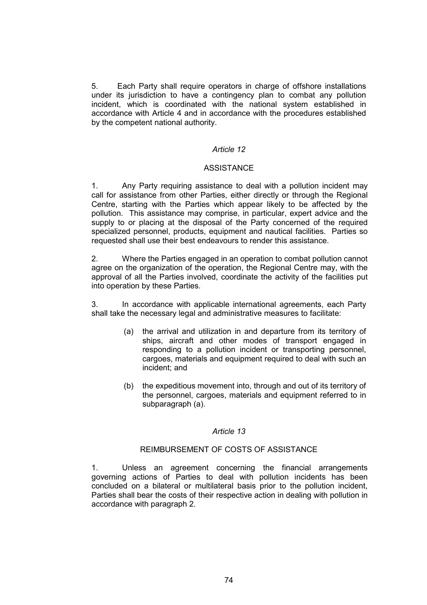5. Each Party shall require operators in charge of offshore installations under its jurisdiction to have a contingency plan to combat any pollution incident, which is coordinated with the national system established in accordance with Article 4 and in accordance with the procedures established by the competent national authority.

## *Article 12*

# **ASSISTANCE**

1. Any Party requiring assistance to deal with a pollution incident may call for assistance from other Parties, either directly or through the Regional Centre, starting with the Parties which appear likely to be affected by the pollution. This assistance may comprise, in particular, expert advice and the supply to or placing at the disposal of the Party concerned of the required specialized personnel, products, equipment and nautical facilities. Parties so requested shall use their best endeavours to render this assistance.

2. Where the Parties engaged in an operation to combat pollution cannot agree on the organization of the operation, the Regional Centre may, with the approval of all the Parties involved, coordinate the activity of the facilities put into operation by these Parties.

3. In accordance with applicable international agreements, each Party shall take the necessary legal and administrative measures to facilitate:

- (a) the arrival and utilization in and departure from its territory of ships, aircraft and other modes of transport engaged in responding to a pollution incident or transporting personnel, cargoes, materials and equipment required to deal with such an incident; and
- (b) the expeditious movement into, through and out of its territory of the personnel, cargoes, materials and equipment referred to in subparagraph (a).

## *Article 13*

# REIMBURSEMENT OF COSTS OF ASSISTANCE

1. Unless an agreement concerning the financial arrangements governing actions of Parties to deal with pollution incidents has been concluded on a bilateral or multilateral basis prior to the pollution incident, Parties shall bear the costs of their respective action in dealing with pollution in accordance with paragraph 2.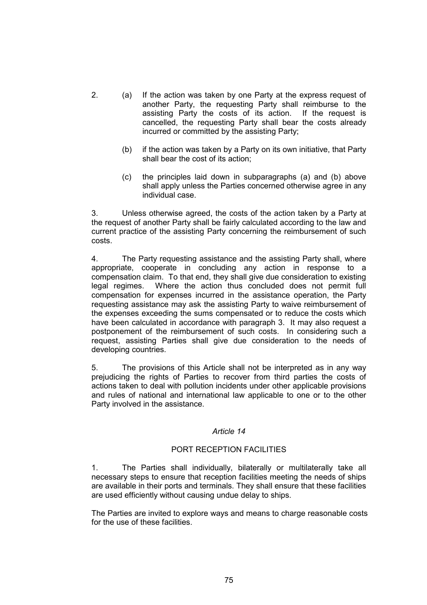- 2. (a) If the action was taken by one Party at the express request of another Party, the requesting Party shall reimburse to the assisting Party the costs of its action. If the request is cancelled, the requesting Party shall bear the costs already incurred or committed by the assisting Party;
	- (b) if the action was taken by a Party on its own initiative, that Party shall bear the cost of its action;
	- (c) the principles laid down in subparagraphs (a) and (b) above shall apply unless the Parties concerned otherwise agree in any individual case.

3. Unless otherwise agreed, the costs of the action taken by a Party at the request of another Party shall be fairly calculated according to the law and current practice of the assisting Party concerning the reimbursement of such costs.

4. The Party requesting assistance and the assisting Party shall, where appropriate, cooperate in concluding any action in response to a compensation claim. To that end, they shall give due consideration to existing legal regimes. Where the action thus concluded does not permit full compensation for expenses incurred in the assistance operation, the Party requesting assistance may ask the assisting Party to waive reimbursement of the expenses exceeding the sums compensated or to reduce the costs which have been calculated in accordance with paragraph 3. It may also request a postponement of the reimbursement of such costs. In considering such a request, assisting Parties shall give due consideration to the needs of developing countries.

5. The provisions of this Article shall not be interpreted as in any way prejudicing the rights of Parties to recover from third parties the costs of actions taken to deal with pollution incidents under other applicable provisions and rules of national and international law applicable to one or to the other Party involved in the assistance.

## *Article 14*

# PORT RECEPTION FACILITIES

1. The Parties shall individually, bilaterally or multilaterally take all necessary steps to ensure that reception facilities meeting the needs of ships are available in their ports and terminals. They shall ensure that these facilities are used efficiently without causing undue delay to ships.

The Parties are invited to explore ways and means to charge reasonable costs for the use of these facilities.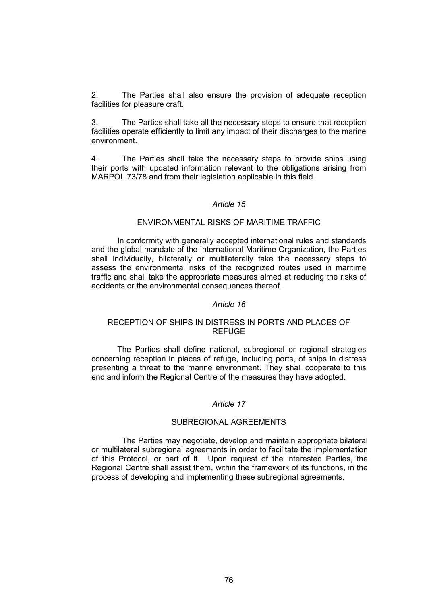2. The Parties shall also ensure the provision of adequate reception facilities for pleasure craft.

3. The Parties shall take all the necessary steps to ensure that reception facilities operate efficiently to limit any impact of their discharges to the marine environment.

4. The Parties shall take the necessary steps to provide ships using their ports with updated information relevant to the obligations arising from MARPOL 73/78 and from their legislation applicable in this field.

### *Article 15*

### ENVIRONMENTAL RISKS OF MARITIME TRAFFIC

 In conformity with generally accepted international rules and standards and the global mandate of the International Maritime Organization, the Parties shall individually, bilaterally or multilaterally take the necessary steps to assess the environmental risks of the recognized routes used in maritime traffic and shall take the appropriate measures aimed at reducing the risks of accidents or the environmental consequences thereof.

## *Article 16*

## RECEPTION OF SHIPS IN DISTRESS IN PORTS AND PLACES OF **REFUGE**

 The Parties shall define national, subregional or regional strategies concerning reception in places of refuge, including ports, of ships in distress presenting a threat to the marine environment. They shall cooperate to this end and inform the Regional Centre of the measures they have adopted.

#### *Article 17*

## SUBREGIONAL AGREEMENTS

 The Parties may negotiate, develop and maintain appropriate bilateral or multilateral subregional agreements in order to facilitate the implementation of this Protocol, or part of it. Upon request of the interested Parties, the Regional Centre shall assist them, within the framework of its functions, in the process of developing and implementing these subregional agreements.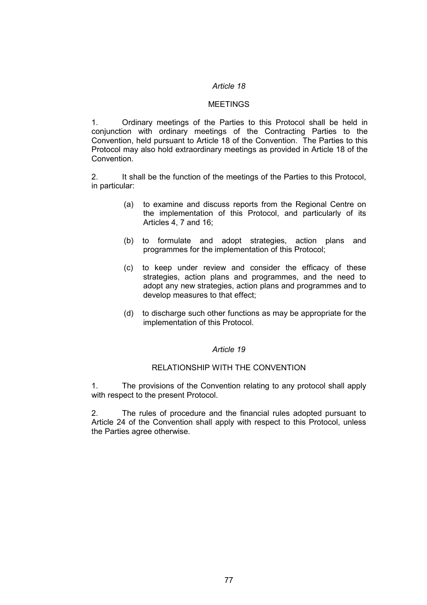## **MEETINGS**

1. Ordinary meetings of the Parties to this Protocol shall be held in conjunction with ordinary meetings of the Contracting Parties to the Convention, held pursuant to Article 18 of the Convention. The Parties to this Protocol may also hold extraordinary meetings as provided in Article 18 of the Convention.

2. It shall be the function of the meetings of the Parties to this Protocol, in particular:

- (a) to examine and discuss reports from the Regional Centre on the implementation of this Protocol, and particularly of its Articles 4, 7 and 16;
- (b) to formulate and adopt strategies, action plans and programmes for the implementation of this Protocol;
- (c) to keep under review and consider the efficacy of these strategies, action plans and programmes, and the need to adopt any new strategies, action plans and programmes and to develop measures to that effect;
- (d) to discharge such other functions as may be appropriate for the implementation of this Protocol.

## *Article 19*

# RELATIONSHIP WITH THE CONVENTION

1. The provisions of the Convention relating to any protocol shall apply with respect to the present Protocol.

2. The rules of procedure and the financial rules adopted pursuant to Article 24 of the Convention shall apply with respect to this Protocol, unless the Parties agree otherwise.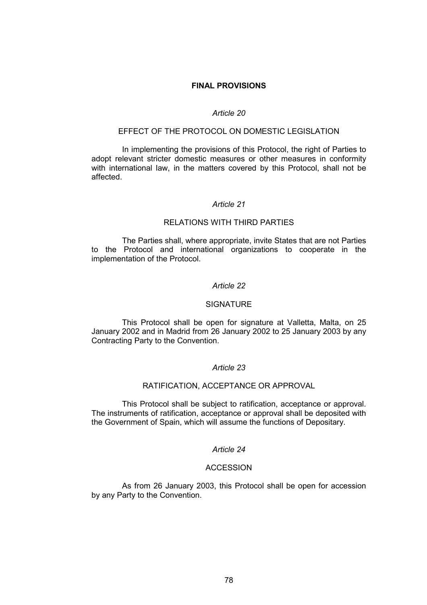# **FINAL PROVISIONS**

### *Article 20*

# EFFECT OF THE PROTOCOL ON DOMESTIC LEGISLATION

 In implementing the provisions of this Protocol, the right of Parties to adopt relevant stricter domestic measures or other measures in conformity with international law, in the matters covered by this Protocol, shall not be affected.

#### *Article 21*

### RELATIONS WITH THIRD PARTIES

 The Parties shall, where appropriate, invite States that are not Parties to the Protocol and international organizations to cooperate in the implementation of the Protocol.

#### *Article 22*

## **SIGNATURE**

 This Protocol shall be open for signature at Valletta, Malta, on 25 January 2002 and in Madrid from 26 January 2002 to 25 January 2003 by any Contracting Party to the Convention.

# *Article 23*

#### RATIFICATION, ACCEPTANCE OR APPROVAL

 This Protocol shall be subject to ratification, acceptance or approval. The instruments of ratification, acceptance or approval shall be deposited with the Government of Spain, which will assume the functions of Depositary.

## *Article 24*

### ACCESSION

 As from 26 January 2003, this Protocol shall be open for accession by any Party to the Convention.